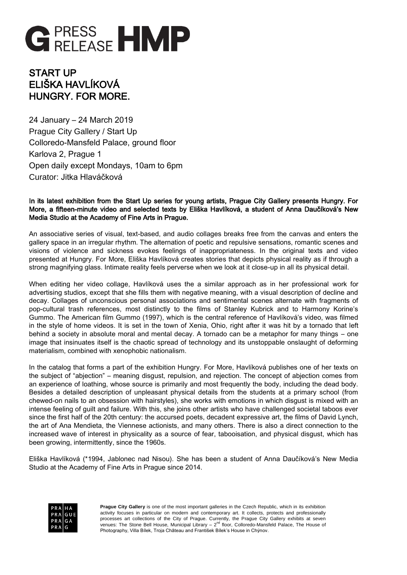

## START UP ELIŠKA HAVLÍKOVÁ HUNGRY. FOR MORE.

24 January – 24 March 2019 Prague City Gallery / Start Up Colloredo-Mansfeld Palace, ground floor Karlova 2, Prague 1 Open daily except Mondays, 10am to 6pm Curator: Jitka Hlaváčková

## In its latest exhibition from the Start Up series for young artists, Prague City Gallery presents Hungry. For More, a fifteen-minute video and selected texts by Eliška Havlíková, a student of Anna Daučíková's New Media Studio at the Academy of Fine Arts in Prague.

An associative series of visual, text-based, and audio collages breaks free from the canvas and enters the gallery space in an irregular rhythm. The alternation of poetic and repulsive sensations, romantic scenes and visions of violence and sickness evokes feelings of inappropriateness. In the original texts and video presented at Hungry. For More, Eliška Havlíková creates stories that depicts physical reality as if through a strong magnifying glass. Intimate reality feels perverse when we look at it close-up in all its physical detail.

When editing her video collage, Havlíková uses the a similar approach as in her professional work for advertising studios, except that she fills them with negative meaning, with a visual description of decline and decay. Collages of unconscious personal associations and sentimental scenes alternate with fragments of pop-cultural trash references, most distinctly to the films of Stanley Kubrick and to Harmony Korine's Gummo. The American film Gummo (1997), which is the central reference of Havlíková's video, was filmed in the style of home videos. It is set in the town of Xenia, Ohio, right after it was hit by a tornado that left behind a society in absolute moral and mental decay. A tornado can be a metaphor for many things – one image that insinuates itself is the chaotic spread of technology and its unstoppable onslaught of deforming materialism, combined with xenophobic nationalism.

In the catalog that forms a part of the exhibition Hungry. For More, Havlíková publishes one of her texts on the subject of "abjection" – meaning disgust, repulsion, and rejection. The concept of abjection comes from an experience of loathing, whose source is primarily and most frequently the body, including the dead body. Besides a detailed description of unpleasant physical details from the students at a primary school (from chewed-on nails to an obsession with hairstyles), she works with emotions in which disgust is mixed with an intense feeling of guilt and failure. With this, she joins other artists who have challenged societal taboos ever since the first half of the 20th century: the accursed poets, decadent expressive art, the films of David Lynch, the art of Ana Mendieta, the Viennese actionists, and many others. There is also a direct connection to the increased wave of interest in physicality as a source of fear, tabooisation, and physical disgust, which has been growing, intermittently, since the 1960s.

Eliška Havlíková (\*1994, Jablonec nad Nisou). She has been a student of Anna Daučíková's New Media Studio at the Academy of Fine Arts in Prague since 2014.



**Prague City Gallery** is one of the most important galleries in the Czech Republic, which in its exhibition activity focuses in particular on modern and contemporary art. It collects, protects and professionally processes art collections of the City of Prague. Currently, the Prague City Gallery exhibits at seven venues: The Stone Bell House, Municipal Library – 2<sup>nd</sup> floor, Colloredo-Mansfeld Palace, The House of Photography, Villa Bílek, Troja Château and František Bílek's House in Chýnov.